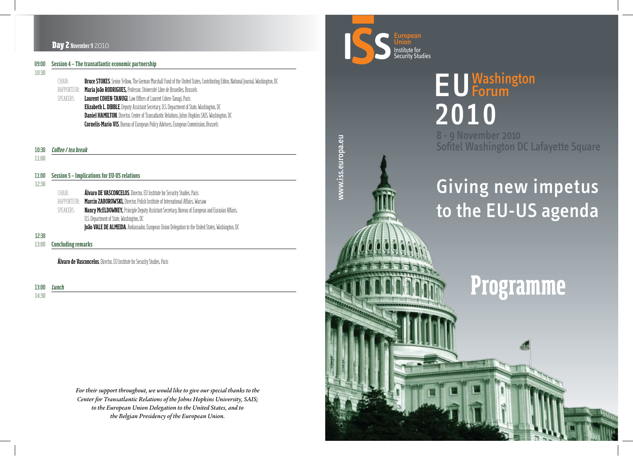

### EU **Forum 2010** 8 - 9 November 2010 Sofitel Washington DC Lafayette Square

## Giving new impetus to the EU-US agenda

# **Programme**

www.iss.europa.eu www.iss.europa.eu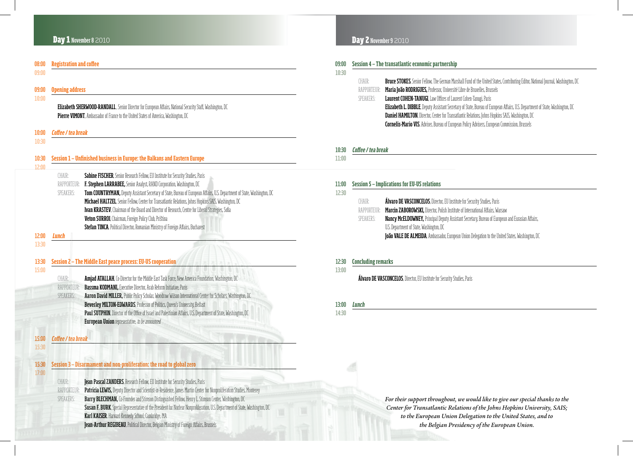#### Day 1 November 8 2010

| <b>Opening address</b>                                                    |                                                                                                                                                                                                                                                                                                                                                                                                                                                                                                                                                                                                                                                      |  |
|---------------------------------------------------------------------------|------------------------------------------------------------------------------------------------------------------------------------------------------------------------------------------------------------------------------------------------------------------------------------------------------------------------------------------------------------------------------------------------------------------------------------------------------------------------------------------------------------------------------------------------------------------------------------------------------------------------------------------------------|--|
|                                                                           | Elizabeth SHERWOOD-RANDALL, Senior Director for European Affairs, National Security Staff, Washington, DC<br>Pierre VIMONT, Ambassador of France to the United States of America, Washington, DC                                                                                                                                                                                                                                                                                                                                                                                                                                                     |  |
| Coffee / tea break                                                        |                                                                                                                                                                                                                                                                                                                                                                                                                                                                                                                                                                                                                                                      |  |
|                                                                           |                                                                                                                                                                                                                                                                                                                                                                                                                                                                                                                                                                                                                                                      |  |
| Session 1 – Unfinished business in Europe: the Balkans and Eastern Europe |                                                                                                                                                                                                                                                                                                                                                                                                                                                                                                                                                                                                                                                      |  |
| CHAIR:<br>RAPPORTEUR:<br>SPEAKERS:                                        | Sabine FISCHER, Senior Research Fellow, EU Institute for Security Studies, Paris<br>F. Stephen LARRABEE, Senior Analyst, RAND Corporation, Washington, DC<br>Tom COUNTRYMAN, Deputy Assistant Secretary of State, Bureau of European Affairs, U.S. Department of State, Washington, DC<br>Michael HALTZEL, Senior Fellow, Center for Transatlantic Relations, Johns Hopkins SAIS, Washington, DC<br>Ivan KRASTEV, Chairman of the Board and Director of Research, Centre for Liberal Strategies, Sofia<br>Veton SURROI, Chairman, Foreign Policy Club, Priština<br>Stefan TINCA, Political Director, Romanian Ministry of Foreign Affairs, Bucharest |  |
| Lunch                                                                     | Session 2 - The Middle East peace process: EU-US cooperation                                                                                                                                                                                                                                                                                                                                                                                                                                                                                                                                                                                         |  |
| CHAIR:<br>RAPPORTEUR:<br>SPEAKERS:                                        | Amjad ATALLAH, Co-Director for the Middle East Task Force, New America Foundation, Washington, DC<br><b>Bassma KODMANI, Executive Director, Arab Reform Initiative, Paris</b><br>Aaron David MILLER, Public Policy Scholar, Woodrow Wilson International Center for Scholars, Washington, DC<br>Beverley MILTON-EDWARDS, Professor of Politics, Queen's University, Belfast<br>Paul SUTPHIN, Director of the Office of Israel and Palestinian Affairs, U.S. Department of State, Washington, DC<br><b>European Union</b> representative, to be announced                                                                                             |  |
| Coffee / tea break                                                        |                                                                                                                                                                                                                                                                                                                                                                                                                                                                                                                                                                                                                                                      |  |
|                                                                           |                                                                                                                                                                                                                                                                                                                                                                                                                                                                                                                                                                                                                                                      |  |
|                                                                           | Session 3 - Disarmament and non-proliferation: the road to global zero                                                                                                                                                                                                                                                                                                                                                                                                                                                                                                                                                                               |  |
|                                                                           | Jean Pascal ZANDERS, Research Fellow, EU Institute for Security Studies, Paris                                                                                                                                                                                                                                                                                                                                                                                                                                                                                                                                                                       |  |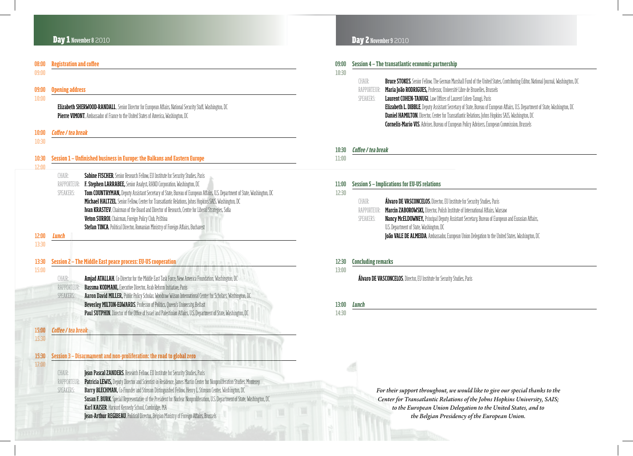| 09:00<br>10:30 |                    | Session 4 – The transatlantic economic partnership                                                                                       |  |
|----------------|--------------------|------------------------------------------------------------------------------------------------------------------------------------------|--|
|                | CHAIR:             | <b>Bruce STOKES,</b> Senior Fellow, The German Marshall Fund of the United States, Contributing Editor, National Journal, Washington, DC |  |
|                | RAPPORTEUR:        | Maria João RODRIGUES, Professor, Université Libre de Bruxelles, Brussels                                                                 |  |
|                | SPEAKERS:          | <b>Laurent COHEN-TANUGI, Law Offices of Laurent Cohen-Tanugi, Paris</b>                                                                  |  |
|                |                    | <b>Elizabeth L. DIBBLE</b> , Deputy Assistant Secretary of State, Bureau of European Affairs, U.S. Department of State, Washington, DC   |  |
|                |                    | <b>Daniel HAMILTON</b> , Director, Center for Transatlantic Relations, Johns Hopkins SAIS, Washington, DC                                |  |
|                |                    | <b>Cornelis-Mario VIS, Adviser, Bureau of European Policy Advisers, European Commission, Brussels</b>                                    |  |
|                |                    |                                                                                                                                          |  |
|                |                    |                                                                                                                                          |  |
| 10:30          | Coffee / tea break |                                                                                                                                          |  |

11:00

| 11:00 | <b>Session 5 - Implications for EU-US relations</b> |                                                                                                         |  |
|-------|-----------------------------------------------------|---------------------------------------------------------------------------------------------------------|--|
| 12:30 |                                                     |                                                                                                         |  |
|       | CHAIR:                                              | <b>Álvaro DE VASCONCELOS</b> , Director, EU Institute for Security Studies, Paris                       |  |
|       | RAPPORTEUR:                                         | Marcin ZABOROWSKI, Director, Polish Institute of International Affairs, Warsaw                          |  |
|       | SPEAKERS:                                           | <b>Nancy McELDOWNEY, Principal Deputy Assistant Secretary, Bureau of European and Eurasian Affairs,</b> |  |
|       |                                                     | U.S. Department of State, Washington, DC                                                                |  |
|       |                                                     | João VALE DE ALMEIDA, Ambassador, European Union Delegation to the United States, Washington, DC        |  |

#### 12:30 **Concluding remarks**

13:00

Álvaro DE VASCONCELOS, Director, EU Institute for Security Studies, Paris

| 13:00 | <b>Lunch</b> |
|-------|--------------|
| 14:30 |              |

Day 2 overleaf *For their support throughout, we would like to give our special thanks to the Center for Transatlantic Relations of the Johns Hopkins University, SAIS; to the European Union Delegation to the United States, and to the Belgian Presidency of the European Union.*